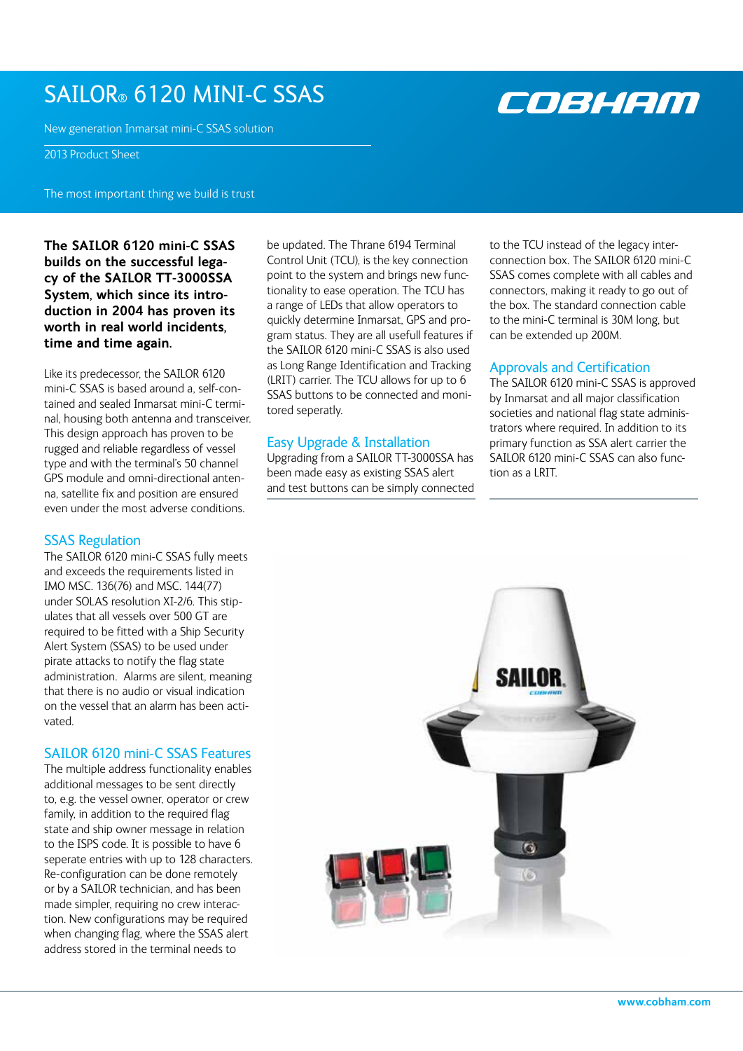# SAILOR® 6120 mini-c SSAS

New generation Inmarsat mini-C SSAS solution

2013 Product Sheet

The most important thing we build is trust

**The SAILOR 6120 mini-C SSAS builds on the successful legacy of the SAILOR TT-3000SSA System, which since its introduction in 2004 has proven its worth in real world incidents, time and time again.** 

Like its predecessor, the SAILOR 6120 mini-C SSAS is based around a, self-contained and sealed Inmarsat mini-C terminal, housing both antenna and transceiver. This design approach has proven to be rugged and reliable regardless of vessel type and with the terminal's 50 channel GPS module and omni-directional antenna, satellite fix and position are ensured even under the most adverse conditions.

# **SSAS Regulation**

The SAILOR 6120 mini-C SSAS fully meets and exceeds the requirements listed in IMO MSC. 136(76) and MSC. 144(77) under SOLAS resolution XI-2/6. This stipulates that all vessels over 500 GT are required to be fitted with a Ship Security Alert System (SSAS) to be used under pirate attacks to notify the flag state administration. Alarms are silent, meaning that there is no audio or visual indication on the vessel that an alarm has been activated.

# SAILOR 6120 mini-C SSAS Features

The multiple address functionality enables additional messages to be sent directly to, e.g. the vessel owner, operator or crew family, in addition to the required flag state and ship owner message in relation to the ISPS code. It is possible to have 6 seperate entries with up to 128 characters. Re-configuration can be done remotely or by a SAILOR technician, and has been made simpler, requiring no crew interaction. New configurations may be required when changing flag, where the SSAS alert address stored in the terminal needs to

be updated. The Thrane 6194 Terminal Control Unit (TCU), is the key connection point to the system and brings new functionality to ease operation. The TCU has a range of LEDs that allow operators to quickly determine Inmarsat, GPS and program status. They are all usefull features if the SAILOR 6120 mini-C SSAS is also used as Long Range Identification and Tracking (LRIT) carrier. The TCU allows for up to 6 SSAS buttons to be connected and monitored seperatly.

# Easy Upgrade & Installation

Upgrading from a SAILOR TT-3000SSA has been made easy as existing SSAS alert and test buttons can be simply connected to the TCU instead of the legacy interconnection box. The SAILOR 6120 mini-C SSAS comes complete with all cables and connectors, making it ready to go out of the box. The standard connection cable to the mini-C terminal is 30M long, but can be extended up 200M.

# Approvals and Certification

The SAILOR 6120 mini-C SSAS is approved by Inmarsat and all major classification societies and national flag state administrators where required. In addition to its primary function as SSA alert carrier the SAILOR 6120 mini-C SSAS can also function as a LRIT.